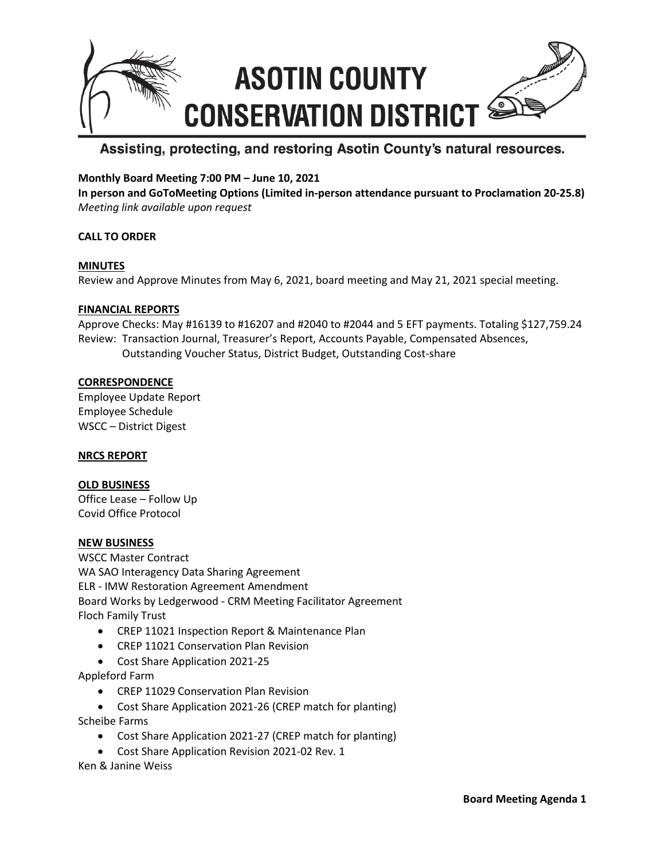

## Assisting, protecting, and restoring Asotin County's natural resources.

## **Monthly Board Meeting 7:00 PM – June 10, 2021**

**In person and GoToMeeting Options (Limited in-person attendance pursuant to Proclamation 20-25.8)** *Meeting link available upon request*

## **CALL TO ORDER**

#### **MINUTES**

Review and Approve Minutes from May 6, 2021, board meeting and May 21, 2021 special meeting.

#### **FINANCIAL REPORTS**

Approve Checks: May #16139 to #16207 and #2040 to #2044 and 5 EFT payments. Totaling \$127,759.24 Review: Transaction Journal, Treasurer's Report, Accounts Payable, Compensated Absences, Outstanding Voucher Status, District Budget, Outstanding Cost-share

### **CORRESPONDENCE**

Employee Update Report Employee Schedule WSCC – District Digest

#### **NRCS REPORT**

#### **OLD BUSINESS**

Office Lease – Follow Up Covid Office Protocol

## **NEW BUSINESS**

WSCC Master Contract WA SAO Interagency Data Sharing Agreement ELR - IMW Restoration Agreement Amendment Board Works by Ledgerwood - CRM Meeting Facilitator Agreement Floch Family Trust

- CREP 11021 Inspection Report & Maintenance Plan
- CREP 11021 Conservation Plan Revision
- Cost Share Application 2021-25

Appleford Farm

- CREP 11029 Conservation Plan Revision
- Cost Share Application 2021-26 (CREP match for planting) Scheibe Farms
	- Cost Share Application 2021-27 (CREP match for planting)
	- Cost Share Application Revision 2021-02 Rev. 1

Ken & Janine Weiss